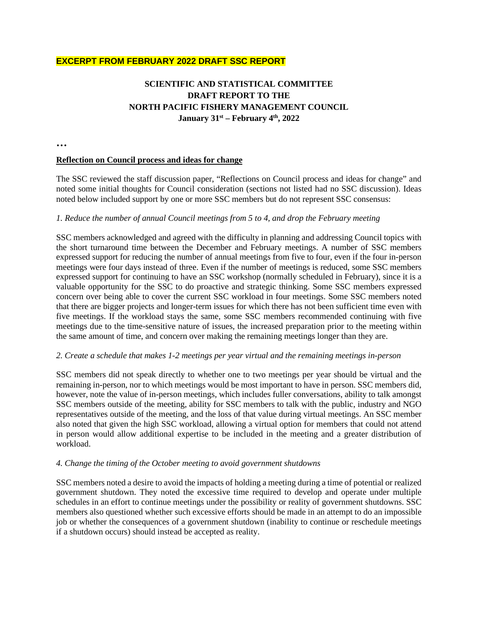# **EXCERPT FROM FEBRUARY 2022 DRAFT SSC REPORT**

# **SCIENTIFIC AND STATISTICAL COMMITTEE DRAFT REPORT TO THE NORTH PACIFIC FISHERY MANAGEMENT COUNCIL January 31st – February 4th, 2022**

**…**

#### **Reflection on Council process and ideas for change**

The SSC reviewed the staff discussion paper, "Reflections on Council process and ideas for change" and noted some initial thoughts for Council consideration (sections not listed had no SSC discussion). Ideas noted below included support by one or more SSC members but do not represent SSC consensus:

#### *1. Reduce the number of annual Council meetings from 5 to 4, and drop the February meeting*

SSC members acknowledged and agreed with the difficulty in planning and addressing Council topics with the short turnaround time between the December and February meetings. A number of SSC members expressed support for reducing the number of annual meetings from five to four, even if the four in-person meetings were four days instead of three. Even if the number of meetings is reduced, some SSC members expressed support for continuing to have an SSC workshop (normally scheduled in February), since it is a valuable opportunity for the SSC to do proactive and strategic thinking. Some SSC members expressed concern over being able to cover the current SSC workload in four meetings. Some SSC members noted that there are bigger projects and longer-term issues for which there has not been sufficient time even with five meetings. If the workload stays the same, some SSC members recommended continuing with five meetings due to the time-sensitive nature of issues, the increased preparation prior to the meeting within the same amount of time, and concern over making the remaining meetings longer than they are.

#### *2. Create a schedule that makes 1-2 meetings per year virtual and the remaining meetings in-person*

SSC members did not speak directly to whether one to two meetings per year should be virtual and the remaining in-person, nor to which meetings would be most important to have in person. SSC members did, however, note the value of in-person meetings, which includes fuller conversations, ability to talk amongst SSC members outside of the meeting, ability for SSC members to talk with the public, industry and NGO representatives outside of the meeting, and the loss of that value during virtual meetings. An SSC member also noted that given the high SSC workload, allowing a virtual option for members that could not attend in person would allow additional expertise to be included in the meeting and a greater distribution of workload.

#### *4. Change the timing of the October meeting to avoid government shutdowns*

SSC members noted a desire to avoid the impacts of holding a meeting during a time of potential or realized government shutdown. They noted the excessive time required to develop and operate under multiple schedules in an effort to continue meetings under the possibility or reality of government shutdowns. SSC members also questioned whether such excessive efforts should be made in an attempt to do an impossible job or whether the consequences of a government shutdown (inability to continue or reschedule meetings if a shutdown occurs) should instead be accepted as reality.